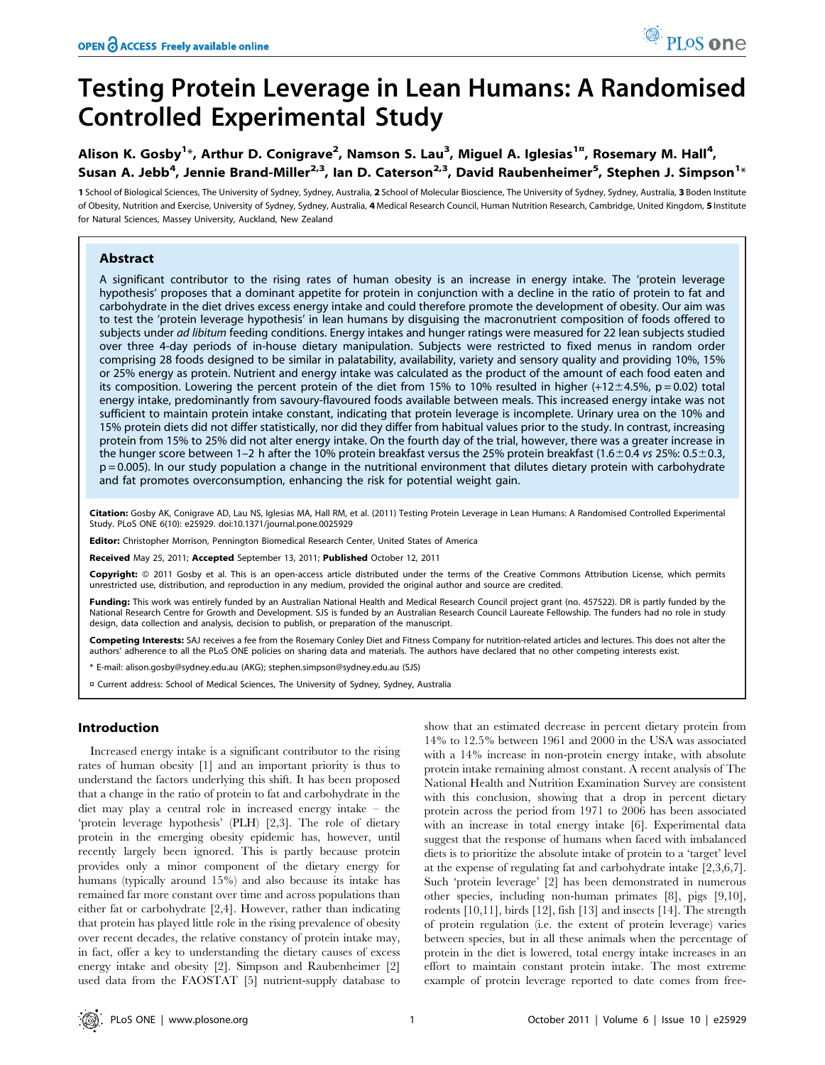# Alison K. Gosby<sup>1</sup>\*, Arthur D. Conigrave<sup>2</sup>, Namson S. Lau<sup>3</sup>, Miguel A. Iglesias<sup>1¤</sup>, Rosemary M. Hall<sup>4</sup>, Susan A. Jebb<sup>4</sup>, Jennie Brand-Miller<sup>2,3</sup>, Ian D. Caterson<sup>2,3</sup>, David Raubenheimer<sup>5</sup>, Stephen J. Simpson<sup>1</sup>\*

1 School of Biological Sciences, The University of Sydney, Sydney, Australia, 2 School of Molecular Bioscience, The University of Sydney, Sydney, Australia, 3 Boden Institute of Obesity, Nutrition and Exercise, University of Sydney, Sydney, Australia, 4 Medical Research Council, Human Nutrition Research, Cambridge, United Kingdom, 5 Institute for Natural Sciences, Massey University, Auckland, New Zealand

# Abstract

A significant contributor to the rising rates of human obesity is an increase in energy intake. The 'protein leverage hypothesis' proposes that a dominant appetite for protein in conjunction with a decline in the ratio of protein to fat and carbohydrate in the diet drives excess energy intake and could therefore promote the development of obesity. Our aim was to test the 'protein leverage hypothesis' in lean humans by disguising the macronutrient composition of foods offered to subjects under ad libitum feeding conditions. Energy intakes and hunger ratings were measured for 22 lean subjects studied over three 4-day periods of in-house dietary manipulation. Subjects were restricted to fixed menus in random order comprising 28 foods designed to be similar in palatability, availability, variety and sensory quality and providing 10%, 15% or 25% energy as protein. Nutrient and energy intake was calculated as the product of the amount of each food eaten and its composition. Lowering the percent protein of the diet from 15% to 10% resulted in higher  $(+12\pm4.5\% , p = 0.02)$  total energy intake, predominantly from savoury-flavoured foods available between meals. This increased energy intake was not sufficient to maintain protein intake constant, indicating that protein leverage is incomplete. Urinary urea on the 10% and 15% protein diets did not differ statistically, nor did they differ from habitual values prior to the study. In contrast, increasing protein from 15% to 25% did not alter energy intake. On the fourth day of the trial, however, there was a greater increase in the hunger score between 1–2 h after the 10% protein breakfast versus the 25% protein breakfast (1.6±0.4 vs 25%: 0.5±0.3, p = 0.005). In our study population a change in the nutritional environment that dilutes dietary protein with carbohydrate and fat promotes overconsumption, enhancing the risk for potential weight gain.

Citation: Gosby AK, Conigrave AD, Lau NS, Iglesias MA, Hall RM, et al. (2011) Testing Protein Leverage in Lean Humans: A Randomised Controlled Experimental Study. PLoS ONE 6(10): e25929. doi:10.1371/journal.pone.0025929

Editor: Christopher Morrison, Pennington Biomedical Research Center, United States of America

Received May 25, 2011; Accepted September 13, 2011; Published October 12, 2011

Copyright: © 2011 Gosby et al. This is an open-access article distributed under the terms of the Creative Commons Attribution License, which permits unrestricted use, distribution, and reproduction in any medium, provided the original author and source are credited.

Funding: This work was entirely funded by an Australian National Health and Medical Research Council project grant (no. 457522). DR is partly funded by the National Research Centre for Growth and Development. SJS is funded by an Australian Research Council Laureate Fellowship. The funders had no role in study design, data collection and analysis, decision to publish, or preparation of the manuscript.

Competing Interests: SAJ receives a fee from the Rosemary Conley Diet and Fitness Company for nutrition-related articles and lectures. This does not alter the authors' adherence to all the PLoS ONE policies on sharing data and materials. The authors have declared that no other competing interests exist.

\* E-mail: alison.gosby@sydney.edu.au (AKG); stephen.simpson@sydney.edu.au (SJS)

¤ Current address: School of Medical Sciences, The University of Sydney, Sydney, Australia

# Introduction

Increased energy intake is a significant contributor to the rising rates of human obesity [1] and an important priority is thus to understand the factors underlying this shift. It has been proposed that a change in the ratio of protein to fat and carbohydrate in the diet may play a central role in increased energy intake – the 'protein leverage hypothesis' (PLH) [2,3]. The role of dietary protein in the emerging obesity epidemic has, however, until recently largely been ignored. This is partly because protein provides only a minor component of the dietary energy for humans (typically around 15%) and also because its intake has remained far more constant over time and across populations than either fat or carbohydrate [2,4]. However, rather than indicating that protein has played little role in the rising prevalence of obesity over recent decades, the relative constancy of protein intake may, in fact, offer a key to understanding the dietary causes of excess energy intake and obesity [2]. Simpson and Raubenheimer [2] used data from the FAOSTAT [5] nutrient-supply database to show that an estimated decrease in percent dietary protein from 14% to 12.5% between 1961 and 2000 in the USA was associated with a 14% increase in non-protein energy intake, with absolute protein intake remaining almost constant. A recent analysis of The National Health and Nutrition Examination Survey are consistent with this conclusion, showing that a drop in percent dietary protein across the period from 1971 to 2006 has been associated with an increase in total energy intake [6]. Experimental data suggest that the response of humans when faced with imbalanced diets is to prioritize the absolute intake of protein to a 'target' level at the expense of regulating fat and carbohydrate intake [2,3,6,7]. Such 'protein leverage' [2] has been demonstrated in numerous other species, including non-human primates [8], pigs [9,10], rodents [10,11], birds [12], fish [13] and insects [14]. The strength of protein regulation (i.e. the extent of protein leverage) varies between species, but in all these animals when the percentage of protein in the diet is lowered, total energy intake increases in an effort to maintain constant protein intake. The most extreme example of protein leverage reported to date comes from free-

PLoS one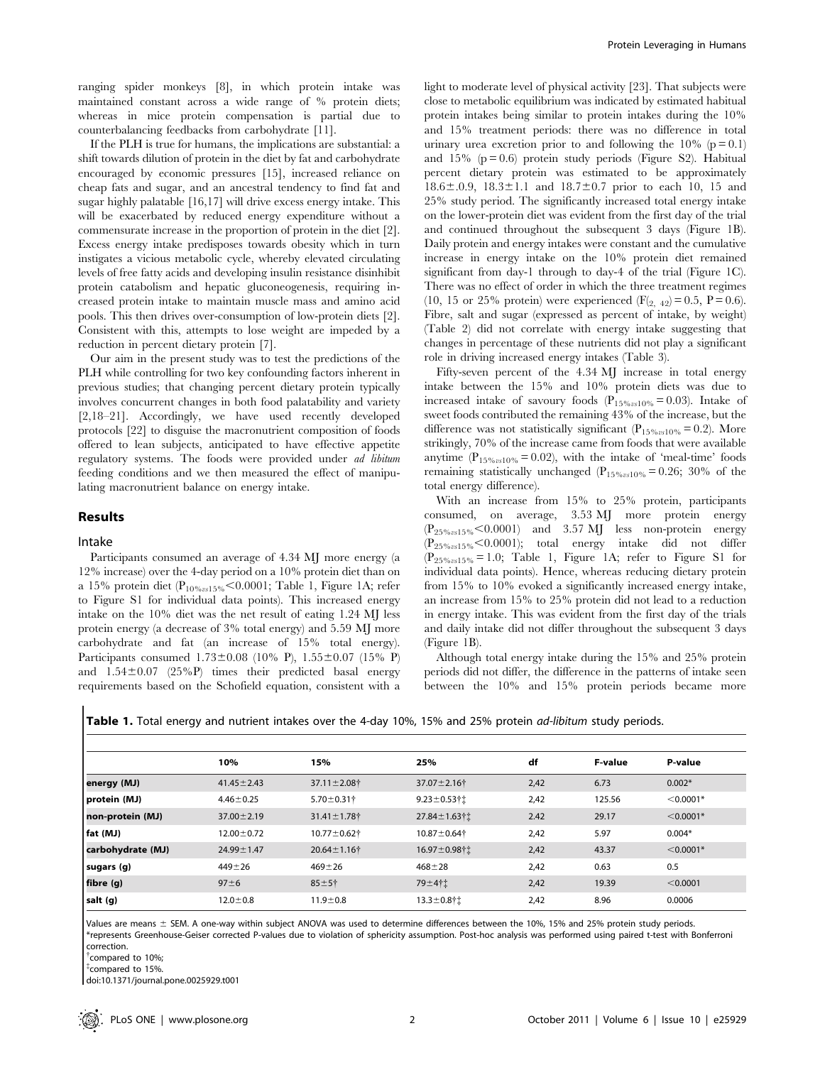ranging spider monkeys [8], in which protein intake was maintained constant across a wide range of % protein diets; whereas in mice protein compensation is partial due to counterbalancing feedbacks from carbohydrate [11].

If the PLH is true for humans, the implications are substantial: a shift towards dilution of protein in the diet by fat and carbohydrate encouraged by economic pressures [15], increased reliance on cheap fats and sugar, and an ancestral tendency to find fat and sugar highly palatable [16,17] will drive excess energy intake. This will be exacerbated by reduced energy expenditure without a commensurate increase in the proportion of protein in the diet [2]. Excess energy intake predisposes towards obesity which in turn instigates a vicious metabolic cycle, whereby elevated circulating levels of free fatty acids and developing insulin resistance disinhibit protein catabolism and hepatic gluconeogenesis, requiring increased protein intake to maintain muscle mass and amino acid pools. This then drives over-consumption of low-protein diets [2]. Consistent with this, attempts to lose weight are impeded by a reduction in percent dietary protein [7].

Our aim in the present study was to test the predictions of the PLH while controlling for two key confounding factors inherent in previous studies; that changing percent dietary protein typically involves concurrent changes in both food palatability and variety [2,18–21]. Accordingly, we have used recently developed protocols [22] to disguise the macronutrient composition of foods offered to lean subjects, anticipated to have effective appetite regulatory systems. The foods were provided under ad libitum feeding conditions and we then measured the effect of manipulating macronutrient balance on energy intake.

#### Results

#### Intake

Participants consumed an average of 4.34 MJ more energy (a 12% increase) over the 4-day period on a 10% protein diet than on a 15% protein diet ( $P_{10\%}$ <sub>vs15%</sub> < 0.0001; Table 1, Figure 1A; refer to Figure S1 for individual data points). This increased energy intake on the 10% diet was the net result of eating 1.24 MJ less protein energy (a decrease of 3% total energy) and 5.59 MJ more carbohydrate and fat (an increase of 15% total energy). Participants consumed  $1.73 \pm 0.08$  (10% P),  $1.55 \pm 0.07$  (15% P) and  $1.54\pm0.07$  (25%P) times their predicted basal energy requirements based on the Schofield equation, consistent with a

light to moderate level of physical activity [23]. That subjects were close to metabolic equilibrium was indicated by estimated habitual protein intakes being similar to protein intakes during the 10% and 15% treatment periods: there was no difference in total urinary urea excretion prior to and following the  $10\%$  (p = 0.1) and 15% ( $p = 0.6$ ) protein study periods (Figure S2). Habitual percent dietary protein was estimated to be approximately  $18.6 \pm 0.9$ ,  $18.3 \pm 1.1$  and  $18.7 \pm 0.7$  prior to each 10, 15 and 25% study period. The significantly increased total energy intake on the lower-protein diet was evident from the first day of the trial and continued throughout the subsequent 3 days (Figure 1B). Daily protein and energy intakes were constant and the cumulative increase in energy intake on the 10% protein diet remained significant from day-1 through to day-4 of the trial (Figure 1C). There was no effect of order in which the three treatment regimes (10, 15 or 25% protein) were experienced  $(F_{(2, 42)} = 0.5, P = 0.6)$ . Fibre, salt and sugar (expressed as percent of intake, by weight) (Table 2) did not correlate with energy intake suggesting that changes in percentage of these nutrients did not play a significant role in driving increased energy intakes (Table 3).

Fifty-seven percent of the 4.34 MJ increase in total energy intake between the 15% and 10% protein diets was due to increased intake of savoury foods  $(P_{15\%} \approx 0.03)$ . Intake of sweet foods contributed the remaining 43% of the increase, but the difference was not statistically significant ( $P_{15\%x10\%} = 0.2$ ). More strikingly, 70% of the increase came from foods that were available anytime  $(P_{15\%2510\%} = 0.02)$ , with the intake of 'meal-time' foods remaining statistically unchanged ( $P_{15\%x10\%} = 0.26$ ; 30% of the total energy difference).

With an increase from 15% to 25% protein, participants consumed, on average, 3.53 MJ more protein energy  $(P_{25\%x15\%}<0.0001)$  and 3.57 MJ less non-protein energy  $(P_{25\%x15\%}<0.0001)$ ; total energy intake did not differ  $(P_{25\%vsl5\%96} = 1.0;$  Table 1, Figure 1A; refer to Figure S1 for individual data points). Hence, whereas reducing dietary protein from 15% to 10% evoked a significantly increased energy intake, an increase from 15% to 25% protein did not lead to a reduction in energy intake. This was evident from the first day of the trials and daily intake did not differ throughout the subsequent 3 days (Figure 1B).

Although total energy intake during the 15% and 25% protein periods did not differ, the difference in the patterns of intake seen between the 10% and 15% protein periods became more

Table 1. Total energy and nutrient intakes over the 4-day 10%, 15% and 25% protein *ad-libitum* study periods.

|                   | 10%              | 15%                | 25%                          | df   | <b>F-value</b> | P-value     |
|-------------------|------------------|--------------------|------------------------------|------|----------------|-------------|
| energy (MJ)       | $41.45 \pm 2.43$ | 37.11±2.08†        | 37.07 ± 2.16†                | 2,42 | 6.73           | $0.002*$    |
| protein (MJ)      | $4.46 \pm 0.25$  | $5.70 \pm 0.31$ †  | $9.23 \pm 0.53$ † $\ddagger$ | 2,42 | 125.56         | $< 0.0001*$ |
| non-protein (MJ)  | $37.00 \pm 2.19$ | $31.41 \pm 1.78$ † | 27.84 ± 1.63†1               | 2.42 | 29.17          | $< 0.0001*$ |
| fat (MJ)          | $12.00 \pm 0.72$ | 10.77±0.62†        | $10.87 \pm 0.64$ †           | 2,42 | 5.97           | $0.004*$    |
| carbohydrate (MJ) | $24.99 \pm 1.47$ | $20.64 \pm 1.16$ † | 16.97±0.98†1                 | 2,42 | 43.37          | $< 0.0001*$ |
| sugars (g)        | $449 + 26$       | $469 + 26$         | $468 + 28$                   | 2,42 | 0.63           | 0.5         |
| fibre (g)         | $97 \pm 6$       | $85 + 5$ †         | 79±4†±                       | 2,42 | 19.39          | < 0.0001    |
| salt (g)          | $12.0 \pm 0.8$   | $11.9 \pm 0.8$     | $13.3 \pm 0.8$ †1            | 2,42 | 8.96           | 0.0006      |

Values are means ± SEM. A one-way within subject ANOVA was used to determine differences between the 10%, 15% and 25% protein study periods. \*represents Greenhouse-Geiser corrected P-values due to violation of sphericity assumption. Post-hoc analysis was performed using paired t-test with Bonferroni correction.

{ compared to 10%;

{ compared to 15%.

doi:10.1371/journal.pone.0025929.t001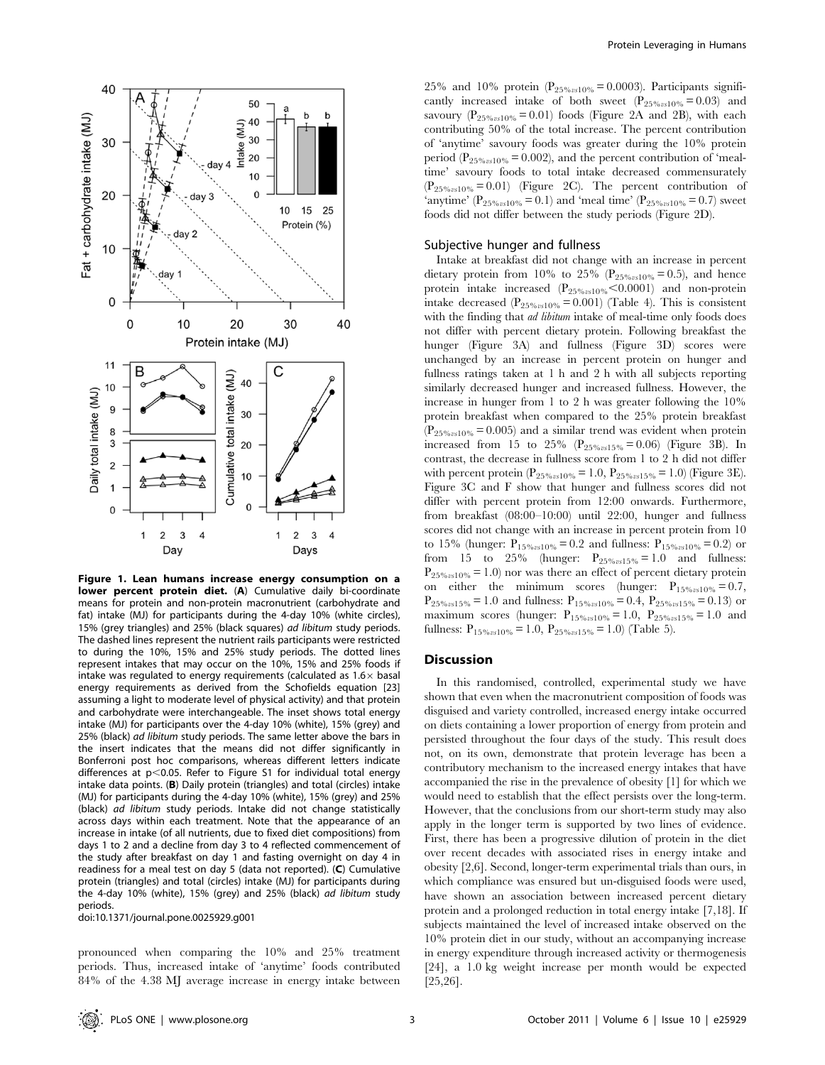

Figure 1. Lean humans increase energy consumption on a lower percent protein diet. (A) Cumulative daily bi-coordinate means for protein and non-protein macronutrient (carbohydrate and fat) intake (MJ) for participants during the 4-day 10% (white circles), 15% (grey triangles) and 25% (black squares) ad libitum study periods. The dashed lines represent the nutrient rails participants were restricted to during the 10%, 15% and 25% study periods. The dotted lines represent intakes that may occur on the 10%, 15% and 25% foods if intake was regulated to energy requirements (calculated as  $1.6\times$  basal energy requirements as derived from the Schofields equation [23] assuming a light to moderate level of physical activity) and that protein and carbohydrate were interchangeable. The inset shows total energy intake (MJ) for participants over the 4-day 10% (white), 15% (grey) and 25% (black) ad libitum study periods. The same letter above the bars in the insert indicates that the means did not differ significantly in Bonferroni post hoc comparisons, whereas different letters indicate differences at  $p<0.05$ . Refer to Figure S1 for individual total energy intake data points. (B) Daily protein (triangles) and total (circles) intake (MJ) for participants during the 4-day 10% (white), 15% (grey) and 25% (black) ad libitum study periods. Intake did not change statistically across days within each treatment. Note that the appearance of an increase in intake (of all nutrients, due to fixed diet compositions) from days 1 to 2 and a decline from day 3 to 4 reflected commencement of the study after breakfast on day 1 and fasting overnight on day 4 in readiness for a meal test on day 5 (data not reported). (C) Cumulative protein (triangles) and total (circles) intake (MJ) for participants during the 4-day 10% (white), 15% (grey) and 25% (black) ad libitum study periods.

doi:10.1371/journal.pone.0025929.g001

pronounced when comparing the 10% and 25% treatment periods. Thus, increased intake of 'anytime' foods contributed 84% of the 4.38 MJ average increase in energy intake between 25% and 10% protein ( $P_{25\%}$ <sub>vs10%</sub> = 0.0003). Participants significantly increased intake of both sweet  $(P_{25\%x10\%} = 0.03)$  and savoury ( $P_{25\%x10\%} = 0.01$ ) foods (Figure 2A and 2B), with each contributing 50% of the total increase. The percent contribution of 'anytime' savoury foods was greater during the 10% protein period ( $P_{25\%}$ <sub>vs10%</sub> = 0.002), and the percent contribution of 'mealtime' savoury foods to total intake decreased commensurately  $(P_{25\%} \text{m}10\% = 0.01)$  (Figure 2C). The percent contribution of 'anytime' ( $P_{25\%}$ <sub>0510%</sub> = 0.1) and 'meal time' ( $P_{25\%}$ <sub>0510%</sub> = 0.7) sweet foods did not differ between the study periods (Figure 2D).

## Subjective hunger and fullness

Intake at breakfast did not change with an increase in percent dietary protein from 10% to 25% ( $P_{25\%}$ <sub>010%</sub> = 0.5), and hence protein intake increased  $(P_{25\%x10\%}$ <0.0001) and non-protein intake decreased ( $P_{25\%x10\%} = 0.001$ ) (Table 4). This is consistent with the finding that *ad libitum* intake of meal-time only foods does not differ with percent dietary protein. Following breakfast the hunger (Figure 3A) and fullness (Figure 3D) scores were unchanged by an increase in percent protein on hunger and fullness ratings taken at 1 h and 2 h with all subjects reporting similarly decreased hunger and increased fullness. However, the increase in hunger from 1 to 2 h was greater following the 10% protein breakfast when compared to the 25% protein breakfast  $(P_{25\%n810\%} = 0.005)$  and a similar trend was evident when protein increased from 15 to 25% ( $P_{25\%}$ s15% = 0.06) (Figure 3B). In contrast, the decrease in fullness score from 1 to 2 h did not differ with percent protein ( $P_{25\%}$ <sub>vs10%</sub> = 1.0,  $P_{25\%}$ <sub>vs15%</sub> = 1.0) (Figure 3E). Figure 3C and F show that hunger and fullness scores did not differ with percent protein from 12:00 onwards. Furthermore, from breakfast (08:00–10:00) until 22:00, hunger and fullness scores did not change with an increase in percent protein from 10 to 15% (hunger:  $P_{15\%}$ <sub>250%</sub> = 0.2 and fullness:  $P_{15\%}$ <sub>2510%</sub> = 0.2) or from 15 to 25% (hunger:  $P_{25\%}$ <sub>25%vs15%</sub> = 1.0 and fullness:  $P_{25\%vsl0\%} = 1.0$ ) nor was there an effect of percent dietary protein on either the minimum scores (hunger:  $P_{15\%xs10\%} = 0.7$ ,  $P_{25\%35\%} = 1.0$  and fullness:  $P_{15\%3510\%} = 0.4$ ,  $P_{25\%3515\%} = 0.13$  or maximum scores (hunger:  $P_{15\%}$ <sub>vs10</sub>% = 1.0,  $P_{25\%}$ <sub>vs15</sub>% = 1.0 and fullness:  $P_{15\%}$ <sub>vs10</sub>% = 1.0,  $P_{25\%}$ <sub>vs15</sub>% = 1.0) (Table 5).

# **Discussion**

In this randomised, controlled, experimental study we have shown that even when the macronutrient composition of foods was disguised and variety controlled, increased energy intake occurred on diets containing a lower proportion of energy from protein and persisted throughout the four days of the study. This result does not, on its own, demonstrate that protein leverage has been a contributory mechanism to the increased energy intakes that have accompanied the rise in the prevalence of obesity [1] for which we would need to establish that the effect persists over the long-term. However, that the conclusions from our short-term study may also apply in the longer term is supported by two lines of evidence. First, there has been a progressive dilution of protein in the diet over recent decades with associated rises in energy intake and obesity [2,6]. Second, longer-term experimental trials than ours, in which compliance was ensured but un-disguised foods were used, have shown an association between increased percent dietary protein and a prolonged reduction in total energy intake [7,18]. If subjects maintained the level of increased intake observed on the 10% protein diet in our study, without an accompanying increase in energy expenditure through increased activity or thermogenesis [24], a 1.0 kg weight increase per month would be expected [25,26].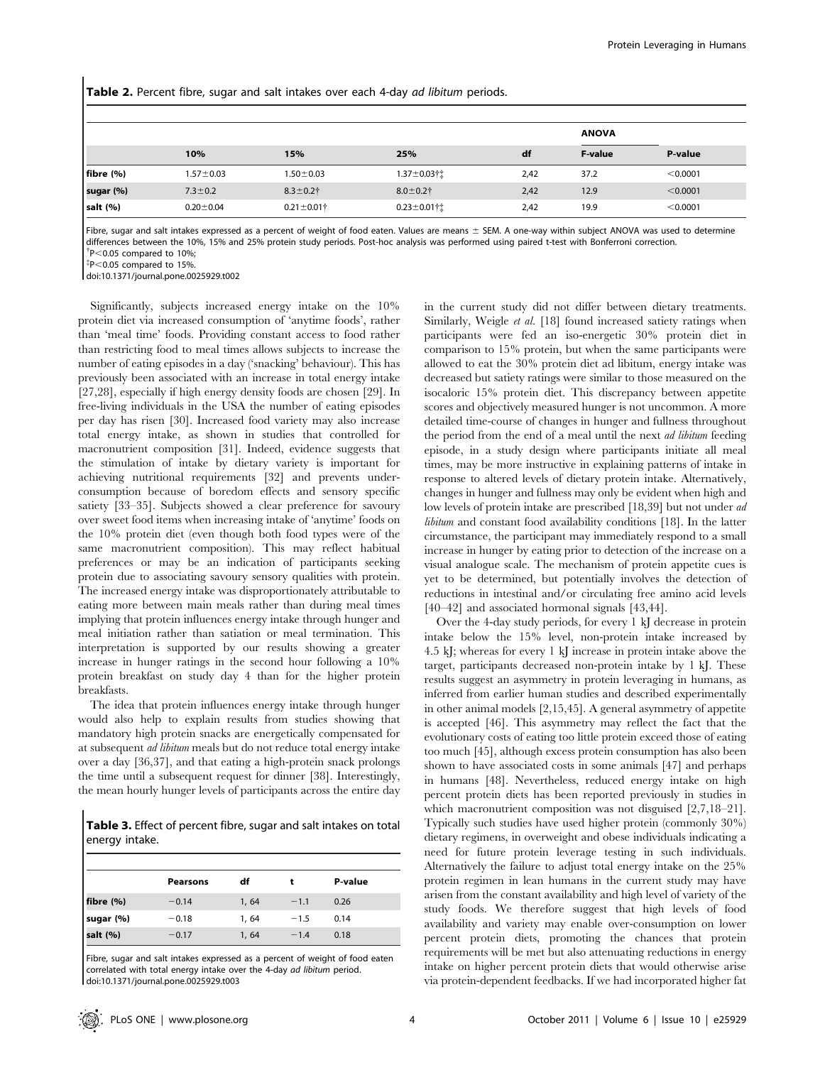Table 2. Percent fibre, sugar and salt intakes over each 4-day ad libitum periods.

|              |                 |                   |                    |      | <b>ANOVA</b>   |          |
|--------------|-----------------|-------------------|--------------------|------|----------------|----------|
|              | 10%             | 15%               | 25%                | df   | <b>F-value</b> | P-value  |
| fibre $(% )$ | $1.57 \pm 0.03$ | $1.50 \pm 0.03$   | 1.37±0.03†‡        | 2,42 | 37.2           | < 0.0001 |
| sugar (%)    | $7.3 \pm 0.2$   | $8.3 \pm 0.2$ †   | $8.0 + 0.2$ †      | 2,42 | 12.9           | < 0.0001 |
| salt $(%)$   | $0.20 + 0.04$   | $0.21 \pm 0.01$ † | $0.23 \pm 0.01$ †† | 2,42 | 19.9           | < 0.0001 |

Fibre, sugar and salt intakes expressed as a percent of weight of food eaten. Values are means  $\pm$  SEM. A one-way within subject ANOVA was used to determine differences between the 10%, 15% and 25% protein study periods. Post-hoc analysis was performed using paired t-test with Bonferroni correction.

 $p^{\dagger}P<0.05$  compared to 10%;<br> $p^{\dagger}P<0.05$  compared to 15%

 $P$ <0.05 compared to 15%.

doi:10.1371/journal.pone.0025929.t002

Significantly, subjects increased energy intake on the 10% protein diet via increased consumption of 'anytime foods', rather than 'meal time' foods. Providing constant access to food rather than restricting food to meal times allows subjects to increase the number of eating episodes in a day ('snacking' behaviour). This has previously been associated with an increase in total energy intake [27,28], especially if high energy density foods are chosen [29]. In free-living individuals in the USA the number of eating episodes per day has risen [30]. Increased food variety may also increase total energy intake, as shown in studies that controlled for macronutrient composition [31]. Indeed, evidence suggests that the stimulation of intake by dietary variety is important for achieving nutritional requirements [32] and prevents underconsumption because of boredom effects and sensory specific satiety [33–35]. Subjects showed a clear preference for savoury over sweet food items when increasing intake of 'anytime' foods on the 10% protein diet (even though both food types were of the same macronutrient composition). This may reflect habitual preferences or may be an indication of participants seeking protein due to associating savoury sensory qualities with protein. The increased energy intake was disproportionately attributable to eating more between main meals rather than during meal times implying that protein influences energy intake through hunger and meal initiation rather than satiation or meal termination. This interpretation is supported by our results showing a greater increase in hunger ratings in the second hour following a 10% protein breakfast on study day 4 than for the higher protein breakfasts.

The idea that protein influences energy intake through hunger would also help to explain results from studies showing that mandatory high protein snacks are energetically compensated for at subsequent ad libitum meals but do not reduce total energy intake over a day [36,37], and that eating a high-protein snack prolongs the time until a subsequent request for dinner [38]. Interestingly, the mean hourly hunger levels of participants across the entire day

Table 3. Effect of percent fibre, sugar and salt intakes on total energy intake.

|            | Pearsons | df    |        | P-value |  |
|------------|----------|-------|--------|---------|--|
| fibre (%)  | $-0.14$  | 1, 64 | $-1.1$ | 0.26    |  |
| sugar (%)  | $-0.18$  | 1, 64 | $-1.5$ | 0.14    |  |
| salt $(%)$ | $-0.17$  | 1, 64 | $-1.4$ | 0.18    |  |

Fibre, sugar and salt intakes expressed as a percent of weight of food eaten correlated with total energy intake over the 4-day ad libitum period. doi:10.1371/journal.pone.0025929.t003

in the current study did not differ between dietary treatments. Similarly, Weigle et al. [18] found increased satiety ratings when participants were fed an iso-energetic 30% protein diet in comparison to 15% protein, but when the same participants were allowed to eat the 30% protein diet ad libitum, energy intake was decreased but satiety ratings were similar to those measured on the isocaloric 15% protein diet. This discrepancy between appetite scores and objectively measured hunger is not uncommon. A more detailed time-course of changes in hunger and fullness throughout the period from the end of a meal until the next *ad libitum* feeding episode, in a study design where participants initiate all meal times, may be more instructive in explaining patterns of intake in response to altered levels of dietary protein intake. Alternatively, changes in hunger and fullness may only be evident when high and low levels of protein intake are prescribed [18,39] but not under *ad* libitum and constant food availability conditions [18]. In the latter circumstance, the participant may immediately respond to a small increase in hunger by eating prior to detection of the increase on a visual analogue scale. The mechanism of protein appetite cues is yet to be determined, but potentially involves the detection of reductions in intestinal and/or circulating free amino acid levels [40–42] and associated hormonal signals [43,44].

Over the 4-day study periods, for every 1 kJ decrease in protein intake below the 15% level, non-protein intake increased by 4.5 kJ; whereas for every 1 kJ increase in protein intake above the target, participants decreased non-protein intake by 1 kJ. These results suggest an asymmetry in protein leveraging in humans, as inferred from earlier human studies and described experimentally in other animal models [2,15,45]. A general asymmetry of appetite is accepted [46]. This asymmetry may reflect the fact that the evolutionary costs of eating too little protein exceed those of eating too much [45], although excess protein consumption has also been shown to have associated costs in some animals [47] and perhaps in humans [48]. Nevertheless, reduced energy intake on high percent protein diets has been reported previously in studies in which macronutrient composition was not disguised [2,7,18–21]. Typically such studies have used higher protein (commonly 30%) dietary regimens, in overweight and obese individuals indicating a need for future protein leverage testing in such individuals. Alternatively the failure to adjust total energy intake on the 25% protein regimen in lean humans in the current study may have arisen from the constant availability and high level of variety of the study foods. We therefore suggest that high levels of food availability and variety may enable over-consumption on lower percent protein diets, promoting the chances that protein requirements will be met but also attenuating reductions in energy intake on higher percent protein diets that would otherwise arise via protein-dependent feedbacks. If we had incorporated higher fat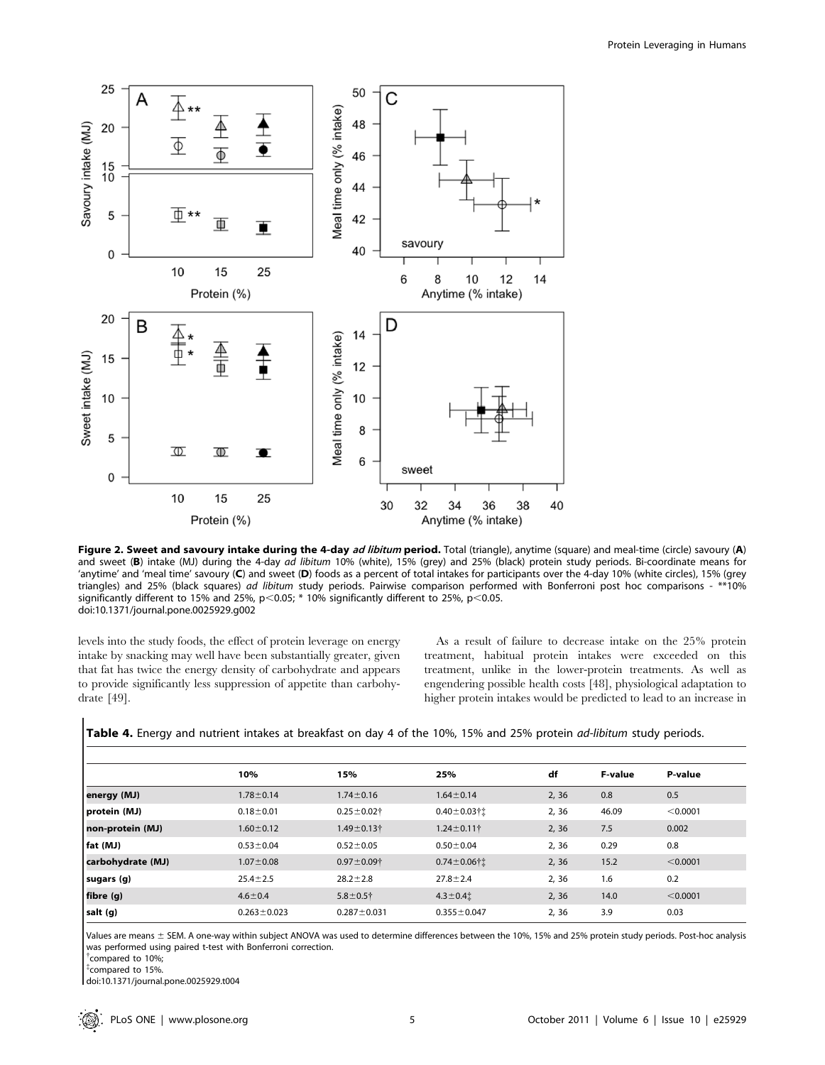

Figure 2. Sweet and savoury intake during the 4-day ad libitum period. Total (triangle), anytime (square) and meal-time (circle) savoury (A) and sweet (B) intake (MJ) during the 4-day ad libitum 10% (white), 15% (grey) and 25% (black) protein study periods. Bi-coordinate means for 'anytime' and 'meal time' savoury (C) and sweet (D) foods as a percent of total intakes for participants over the 4-day 10% (white circles), 15% (grey triangles) and 25% (black squares) ad libitum study periods. Pairwise comparison performed with Bonferroni post hoc comparisons - \*\*10% significantly different to 15% and 25%, p<0.05;  $*$  10% significantly different to 25%, p<0.05. doi:10.1371/journal.pone.0025929.g002

levels into the study foods, the effect of protein leverage on energy intake by snacking may well have been substantially greater, given that fat has twice the energy density of carbohydrate and appears to provide significantly less suppression of appetite than carbohydrate [49].

As a result of failure to decrease intake on the 25% protein treatment, habitual protein intakes were exceeded on this treatment, unlike in the lower-protein treatments. As well as engendering possible health costs [48], physiological adaptation to higher protein intakes would be predicted to lead to an increase in

Table 4. Energy and nutrient intakes at breakfast on day 4 of the 10%, 15% and 25% protein *ad-libitum* study periods.

|                   | 10%               | 15%               | 25%                | df    | <b>F-value</b> | P-value  |
|-------------------|-------------------|-------------------|--------------------|-------|----------------|----------|
| energy (MJ)       | $1.78 \pm 0.14$   | $1.74 \pm 0.16$   | $1.64 \pm 0.14$    | 2, 36 | 0.8            | 0.5      |
| (MJ) protein      | $0.18 + 0.01$     | $0.25 \pm 0.02$ † | $0.40 \pm 0.03$ †1 | 2,36  | 46.09          | < 0.0001 |
| non-protein (MJ)  | $1.60 \pm 0.12$   | $1.49 \pm 0.13$ † | $1.24 \pm 0.11$ †  | 2, 36 | 7.5            | 0.002    |
| fat (MJ)          | $0.53 \pm 0.04$   | $0.52 \pm 0.05$   | $0.50 \pm 0.04$    | 2,36  | 0.29           | 0.8      |
| carbohydrate (MJ) | $1.07 \pm 0.08$   | $0.97 \pm 0.09$ † | $0.74 \pm 0.06$ †1 | 2, 36 | 15.2           | < 0.0001 |
| sugars (g)        | $25.4 \pm 2.5$    | $28.2 \pm 2.8$    | $27.8 \pm 2.4$     | 2,36  | 1.6            | 0.2      |
| fibre (g)         | $4.6 \pm 0.4$     | $5.8 + 0.5$ †     | $4.3 \pm 0.41$     | 2, 36 | 14.0           | < 0.0001 |
| salt (g)          | $0.263 \pm 0.023$ | $0.287 \pm 0.031$ | $0.355 \pm 0.047$  | 2, 36 | 3.9            | 0.03     |

Values are means ± SEM. A one-way within subject ANOVA was used to determine differences between the 10%, 15% and 25% protein study periods. Post-hoc analysis was performed using paired t-test with Bonferroni correction.

{ compared to 10%;

{ compared to 15%.

doi:10.1371/journal.pone.0025929.t004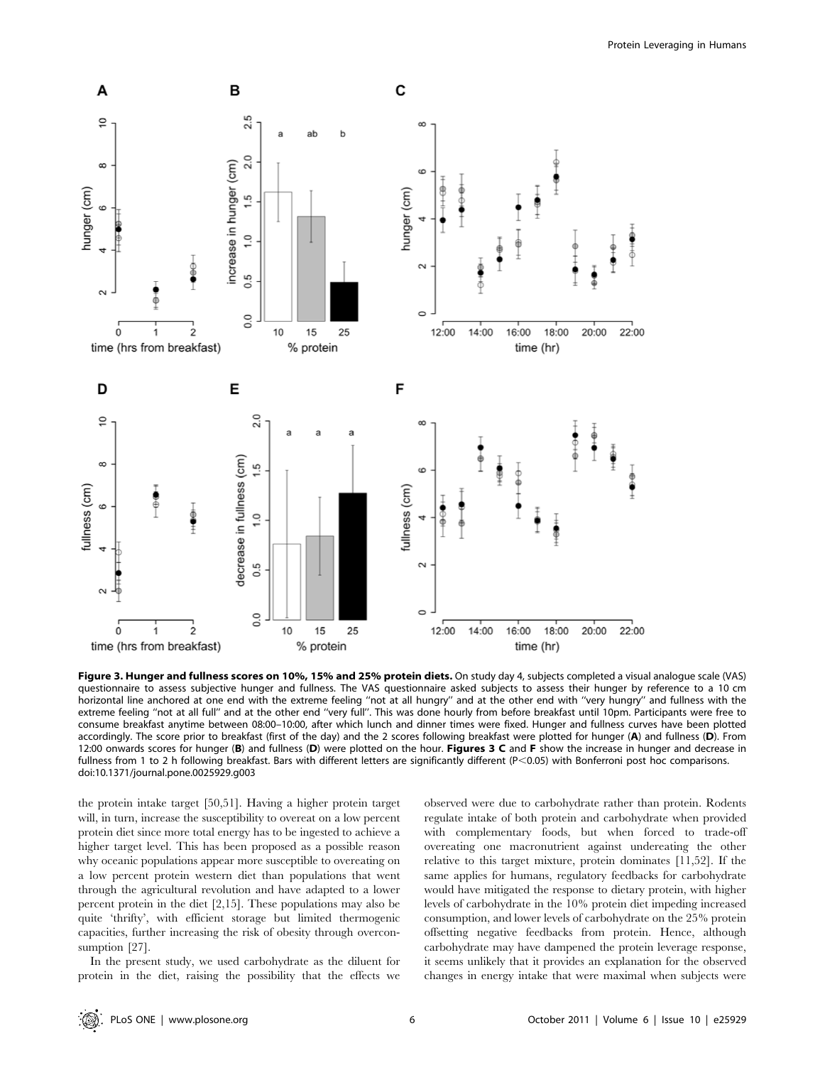

Figure 3. Hunger and fullness scores on 10%, 15% and 25% protein diets. On study day 4, subjects completed a visual analogue scale (VAS) questionnaire to assess subjective hunger and fullness. The VAS questionnaire asked subjects to assess their hunger by reference to a 10 cm horizontal line anchored at one end with the extreme feeling "not at all hungry" and at the other end with "very hungry" and fullness with the extreme feeling ''not at all full'' and at the other end ''very full''. This was done hourly from before breakfast until 10pm. Participants were free to consume breakfast anytime between 08:00–10:00, after which lunch and dinner times were fixed. Hunger and fullness curves have been plotted accordingly. The score prior to breakfast (first of the day) and the 2 scores following breakfast were plotted for hunger (A) and fullness (D). From 12:00 onwards scores for hunger (B) and fullness (D) were plotted on the hour. Figures 3 C and F show the increase in hunger and decrease in fullness from 1 to 2 h following breakfast. Bars with different letters are significantly different (P<0.05) with Bonferroni post hoc comparisons. doi:10.1371/journal.pone.0025929.g003

the protein intake target [50,51]. Having a higher protein target will, in turn, increase the susceptibility to overeat on a low percent protein diet since more total energy has to be ingested to achieve a higher target level. This has been proposed as a possible reason why oceanic populations appear more susceptible to overeating on a low percent protein western diet than populations that went through the agricultural revolution and have adapted to a lower percent protein in the diet [2,15]. These populations may also be quite 'thrifty', with efficient storage but limited thermogenic capacities, further increasing the risk of obesity through overconsumption [27].

In the present study, we used carbohydrate as the diluent for protein in the diet, raising the possibility that the effects we

observed were due to carbohydrate rather than protein. Rodents regulate intake of both protein and carbohydrate when provided with complementary foods, but when forced to trade-off overeating one macronutrient against undereating the other relative to this target mixture, protein dominates [11,52]. If the same applies for humans, regulatory feedbacks for carbohydrate would have mitigated the response to dietary protein, with higher levels of carbohydrate in the 10% protein diet impeding increased consumption, and lower levels of carbohydrate on the 25% protein offsetting negative feedbacks from protein. Hence, although carbohydrate may have dampened the protein leverage response, it seems unlikely that it provides an explanation for the observed changes in energy intake that were maximal when subjects were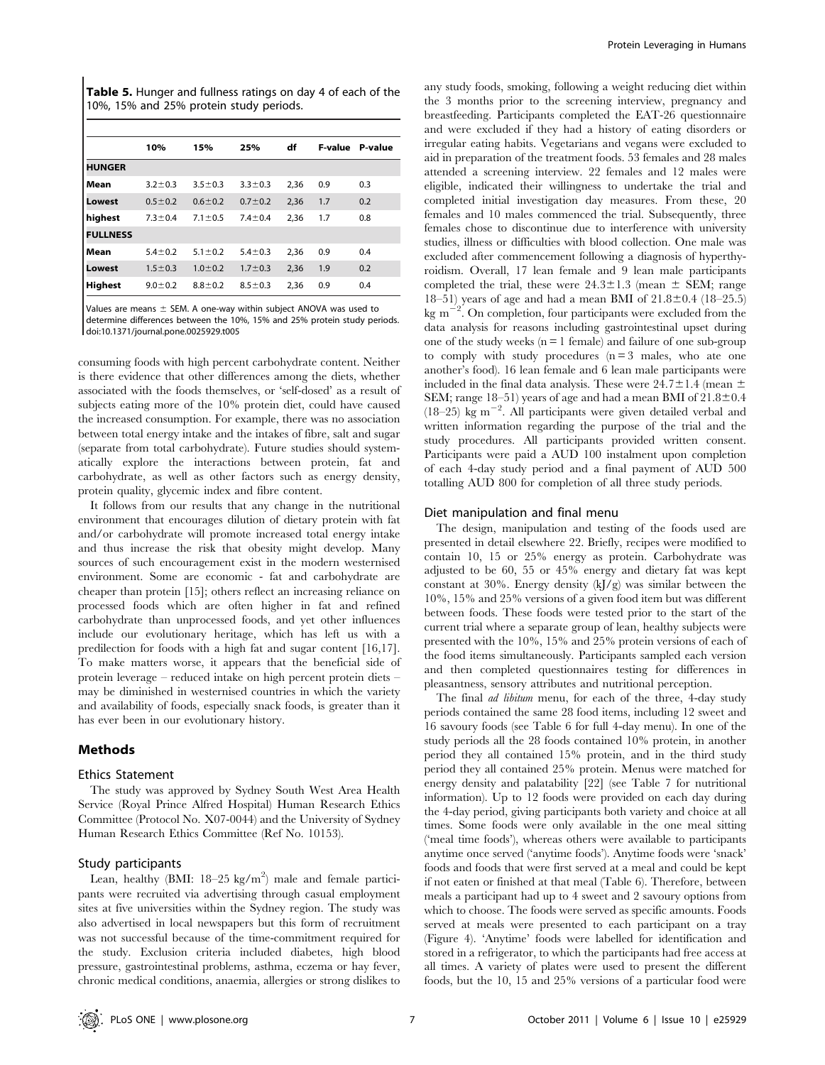Table 5. Hunger and fullness ratings on day 4 of each of the 10%, 15% and 25% protein study periods.

|                 | 10%           | 15%           | 25%           | df   | <b>F-value</b> | P-value |
|-----------------|---------------|---------------|---------------|------|----------------|---------|
| <b>HUNGER</b>   |               |               |               |      |                |         |
| Mean            | $3.2 \pm 0.3$ | $3.5 \pm 0.3$ | $3.3 \pm 0.3$ | 2,36 | 0.9            | 0.3     |
| Lowest          | $0.5 \pm 0.2$ | $0.6 \pm 0.2$ | $0.7 + 0.2$   | 2,36 | 1.7            | 0.2     |
| highest         | $7.3 \pm 0.4$ | $7.1 \pm 0.5$ | $7.4 \pm 0.4$ | 2,36 | 1.7            | 0.8     |
| <b>FULLNESS</b> |               |               |               |      |                |         |
| Mean            | $5.4 \pm 0.2$ | $5.1 \pm 0.2$ | $5.4 \pm 0.3$ | 2,36 | 0.9            | 0.4     |
| Lowest          | $1.5 \pm 0.3$ | $1.0 \pm 0.2$ | $1.7 \pm 0.3$ | 2,36 | 1.9            | 0.2     |
| <b>Highest</b>  | $9.0 \pm 0.2$ | $8.8 + 0.2$   | $8.5 \pm 0.3$ | 2,36 | 0.9            | 0.4     |
|                 |               |               |               |      |                |         |

Values are means  $\pm$  SEM. A one-way within subject ANOVA was used to determine differences between the 10%, 15% and 25% protein study periods. doi:10.1371/journal.pone.0025929.t005

consuming foods with high percent carbohydrate content. Neither is there evidence that other differences among the diets, whether associated with the foods themselves, or 'self-dosed' as a result of subjects eating more of the 10% protein diet, could have caused the increased consumption. For example, there was no association between total energy intake and the intakes of fibre, salt and sugar (separate from total carbohydrate). Future studies should systematically explore the interactions between protein, fat and carbohydrate, as well as other factors such as energy density, protein quality, glycemic index and fibre content.

It follows from our results that any change in the nutritional environment that encourages dilution of dietary protein with fat and/or carbohydrate will promote increased total energy intake and thus increase the risk that obesity might develop. Many sources of such encouragement exist in the modern westernised environment. Some are economic - fat and carbohydrate are cheaper than protein [15]; others reflect an increasing reliance on processed foods which are often higher in fat and refined carbohydrate than unprocessed foods, and yet other influences include our evolutionary heritage, which has left us with a predilection for foods with a high fat and sugar content [16,17]. To make matters worse, it appears that the beneficial side of protein leverage – reduced intake on high percent protein diets – may be diminished in westernised countries in which the variety and availability of foods, especially snack foods, is greater than it has ever been in our evolutionary history.

# Methods

#### Ethics Statement

The study was approved by Sydney South West Area Health Service (Royal Prince Alfred Hospital) Human Research Ethics Committee (Protocol No. X07-0044) and the University of Sydney Human Research Ethics Committee (Ref No. 10153).

### Study participants

Lean, healthy (BMI:  $18-25$  kg/m<sup>2</sup>) male and female participants were recruited via advertising through casual employment sites at five universities within the Sydney region. The study was also advertised in local newspapers but this form of recruitment was not successful because of the time-commitment required for the study. Exclusion criteria included diabetes, high blood pressure, gastrointestinal problems, asthma, eczema or hay fever, chronic medical conditions, anaemia, allergies or strong dislikes to

any study foods, smoking, following a weight reducing diet within the 3 months prior to the screening interview, pregnancy and breastfeeding. Participants completed the EAT-26 questionnaire and were excluded if they had a history of eating disorders or irregular eating habits. Vegetarians and vegans were excluded to aid in preparation of the treatment foods. 53 females and 28 males attended a screening interview. 22 females and 12 males were eligible, indicated their willingness to undertake the trial and completed initial investigation day measures. From these, 20 females and 10 males commenced the trial. Subsequently, three females chose to discontinue due to interference with university studies, illness or difficulties with blood collection. One male was excluded after commencement following a diagnosis of hyperthyroidism. Overall, 17 lean female and 9 lean male participants completed the trial, these were  $24.3 \pm 1.3$  (mean  $\pm$  SEM; range 18–51) years of age and had a mean BMI of  $21.8\pm0.4$  (18–25.5) kg m<sup>-2</sup>. On completion, four participants were excluded from the data analysis for reasons including gastrointestinal upset during one of the study weeks  $(n = 1$  female) and failure of one sub-group to comply with study procedures  $(n = 3$  males, who ate one another's food). 16 lean female and 6 lean male participants were included in the final data analysis. These were  $24.7\pm1.4$  (mean  $\pm$ SEM; range  $18-51$ ) years of age and had a mean BMI of  $21.8\pm0.4$  $(18-25)$  kg m<sup>-2</sup>. All participants were given detailed verbal and written information regarding the purpose of the trial and the study procedures. All participants provided written consent. Participants were paid a AUD 100 instalment upon completion of each 4-day study period and a final payment of AUD 500 totalling AUD 800 for completion of all three study periods.

#### Diet manipulation and final menu

The design, manipulation and testing of the foods used are presented in detail elsewhere 22. Briefly, recipes were modified to contain 10, 15 or 25% energy as protein. Carbohydrate was adjusted to be 60, 55 or 45% energy and dietary fat was kept constant at 30%. Energy density  $(kJ/g)$  was similar between the 10%, 15% and 25% versions of a given food item but was different between foods. These foods were tested prior to the start of the current trial where a separate group of lean, healthy subjects were presented with the 10%, 15% and 25% protein versions of each of the food items simultaneously. Participants sampled each version and then completed questionnaires testing for differences in pleasantness, sensory attributes and nutritional perception.

The final *ad libitum* menu, for each of the three, 4-day study periods contained the same 28 food items, including 12 sweet and 16 savoury foods (see Table 6 for full 4-day menu). In one of the study periods all the 28 foods contained 10% protein, in another period they all contained 15% protein, and in the third study period they all contained 25% protein. Menus were matched for energy density and palatability [22] (see Table 7 for nutritional information). Up to 12 foods were provided on each day during the 4-day period, giving participants both variety and choice at all times. Some foods were only available in the one meal sitting ('meal time foods'), whereas others were available to participants anytime once served ('anytime foods'). Anytime foods were 'snack' foods and foods that were first served at a meal and could be kept if not eaten or finished at that meal (Table 6). Therefore, between meals a participant had up to 4 sweet and 2 savoury options from which to choose. The foods were served as specific amounts. Foods served at meals were presented to each participant on a tray (Figure 4). 'Anytime' foods were labelled for identification and stored in a refrigerator, to which the participants had free access at all times. A variety of plates were used to present the different foods, but the 10, 15 and 25% versions of a particular food were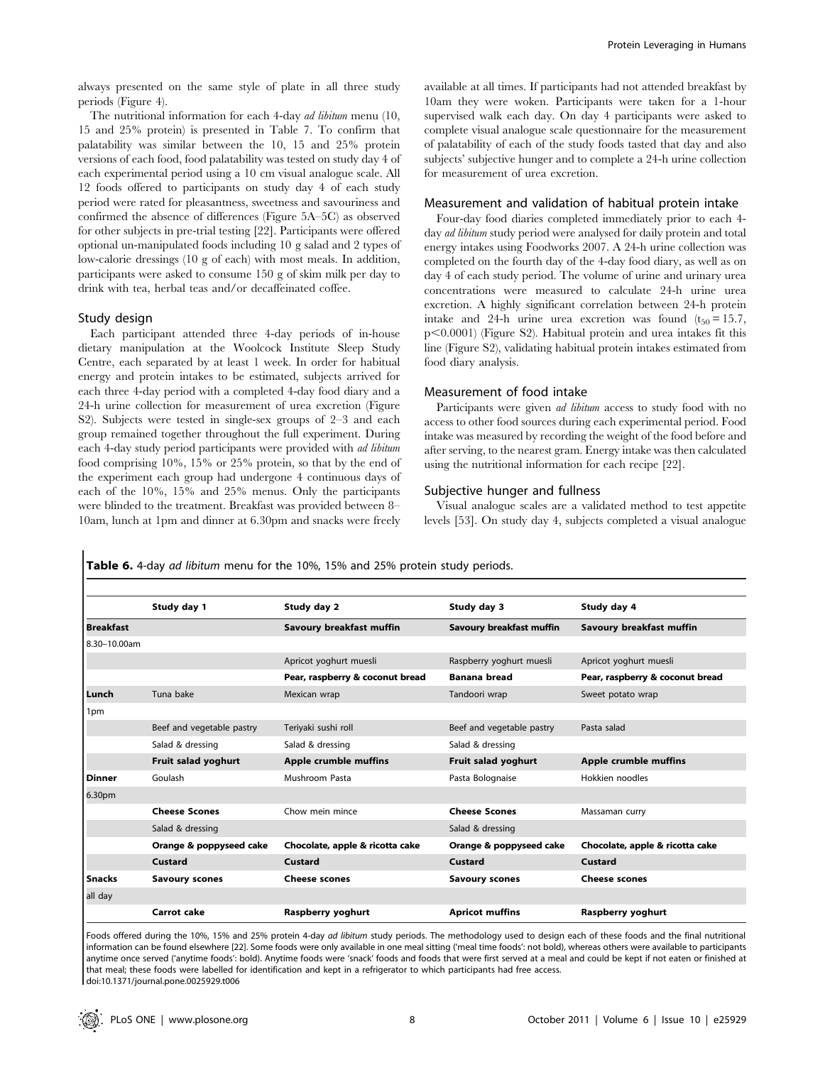always presented on the same style of plate in all three study periods (Figure 4).

The nutritional information for each 4-day ad libitum menu (10, 15 and 25% protein) is presented in Table 7. To confirm that palatability was similar between the 10, 15 and 25% protein versions of each food, food palatability was tested on study day 4 of each experimental period using a 10 cm visual analogue scale. All 12 foods offered to participants on study day 4 of each study period were rated for pleasantness, sweetness and savouriness and confirmed the absence of differences (Figure 5A–5C) as observed for other subjects in pre-trial testing [22]. Participants were offered optional un-manipulated foods including 10 g salad and 2 types of low-calorie dressings (10 g of each) with most meals. In addition, participants were asked to consume 150 g of skim milk per day to drink with tea, herbal teas and/or decaffeinated coffee.

#### Study design

Each participant attended three 4-day periods of in-house dietary manipulation at the Woolcock Institute Sleep Study Centre, each separated by at least 1 week. In order for habitual energy and protein intakes to be estimated, subjects arrived for each three 4-day period with a completed 4-day food diary and a 24-h urine collection for measurement of urea excretion (Figure S2). Subjects were tested in single-sex groups of 2–3 and each group remained together throughout the full experiment. During each 4-day study period participants were provided with ad libitum food comprising 10%, 15% or 25% protein, so that by the end of the experiment each group had undergone 4 continuous days of each of the 10%, 15% and 25% menus. Only the participants were blinded to the treatment. Breakfast was provided between 8– 10am, lunch at 1pm and dinner at 6.30pm and snacks were freely

available at all times. If participants had not attended breakfast by 10am they were woken. Participants were taken for a 1-hour supervised walk each day. On day 4 participants were asked to complete visual analogue scale questionnaire for the measurement of palatability of each of the study foods tasted that day and also subjects' subjective hunger and to complete a 24-h urine collection for measurement of urea excretion.

# Measurement and validation of habitual protein intake

Four-day food diaries completed immediately prior to each 4 day *ad libitum* study period were analysed for daily protein and total energy intakes using Foodworks 2007. A 24-h urine collection was completed on the fourth day of the 4-day food diary, as well as on day 4 of each study period. The volume of urine and urinary urea concentrations were measured to calculate 24-h urine urea excretion. A highly significant correlation between 24-h protein intake and 24-h urine urea excretion was found  $(t_{50} = 15.7$ ,  $p<0.0001$  (Figure S2). Habitual protein and urea intakes fit this line (Figure S2), validating habitual protein intakes estimated from food diary analysis.

#### Measurement of food intake

Participants were given *ad libitum* access to study food with no access to other food sources during each experimental period. Food intake was measured by recording the weight of the food before and after serving, to the nearest gram. Energy intake was then calculated using the nutritional information for each recipe [22].

# Subjective hunger and fullness

Visual analogue scales are a validated method to test appetite levels [53]. On study day 4, subjects completed a visual analogue

Table 6. 4-day ad libitum menu for the 10%, 15% and 25% protein study periods.

|                  | Study day 1               | Study day 2                     | Study day 3               | Study day 4                     |
|------------------|---------------------------|---------------------------------|---------------------------|---------------------------------|
| <b>Breakfast</b> |                           | Savoury breakfast muffin        | Savoury breakfast muffin  | Savoury breakfast muffin        |
| 8.30-10.00am     |                           |                                 |                           |                                 |
|                  |                           | Apricot yoghurt muesli          | Raspberry yoghurt muesli  | Apricot yoghurt muesli          |
|                  |                           |                                 |                           |                                 |
|                  |                           | Pear, raspberry & coconut bread | <b>Banana bread</b>       | Pear, raspberry & coconut bread |
| Lunch            | Tuna bake                 | Mexican wrap                    | Tandoori wrap             | Sweet potato wrap               |
| 1pm              |                           |                                 |                           |                                 |
|                  | Beef and vegetable pastry | Teriyaki sushi roll             | Beef and vegetable pastry | Pasta salad                     |
|                  | Salad & dressing          | Salad & dressing                | Salad & dressing          |                                 |
|                  | Fruit salad yoghurt       | Apple crumble muffins           | Fruit salad yoghurt       | Apple crumble muffins           |
| <b>Dinner</b>    | Goulash                   | Mushroom Pasta                  | Pasta Bolognaise          | Hokkien noodles                 |
| 6.30pm           |                           |                                 |                           |                                 |
|                  | <b>Cheese Scones</b>      | Chow mein mince                 | <b>Cheese Scones</b>      | Massaman curry                  |
|                  | Salad & dressing          |                                 | Salad & dressing          |                                 |
|                  | Orange & poppyseed cake   | Chocolate, apple & ricotta cake | Orange & poppyseed cake   | Chocolate, apple & ricotta cake |
|                  | Custard                   | Custard                         | Custard                   | Custard                         |
| <b>Snacks</b>    | <b>Savoury scones</b>     | <b>Cheese scones</b>            | <b>Savoury scones</b>     | <b>Cheese scones</b>            |
| all day          |                           |                                 |                           |                                 |
|                  | Carrot cake               | Raspberry yoghurt               | <b>Apricot muffins</b>    | Raspberry yoghurt               |

Foods offered during the 10%, 15% and 25% protein 4-day ad libitum study periods. The methodology used to design each of these foods and the final nutritional information can be found elsewhere [22]. Some foods were only available in one meal sitting ('meal time foods': not bold), whereas others were available to participants anytime once served ('anytime foods': bold). Anytime foods were 'snack' foods and foods that were first served at a meal and could be kept if not eaten or finished at that meal; these foods were labelled for identification and kept in a refrigerator to which participants had free access. doi:10.1371/journal.pone.0025929.t006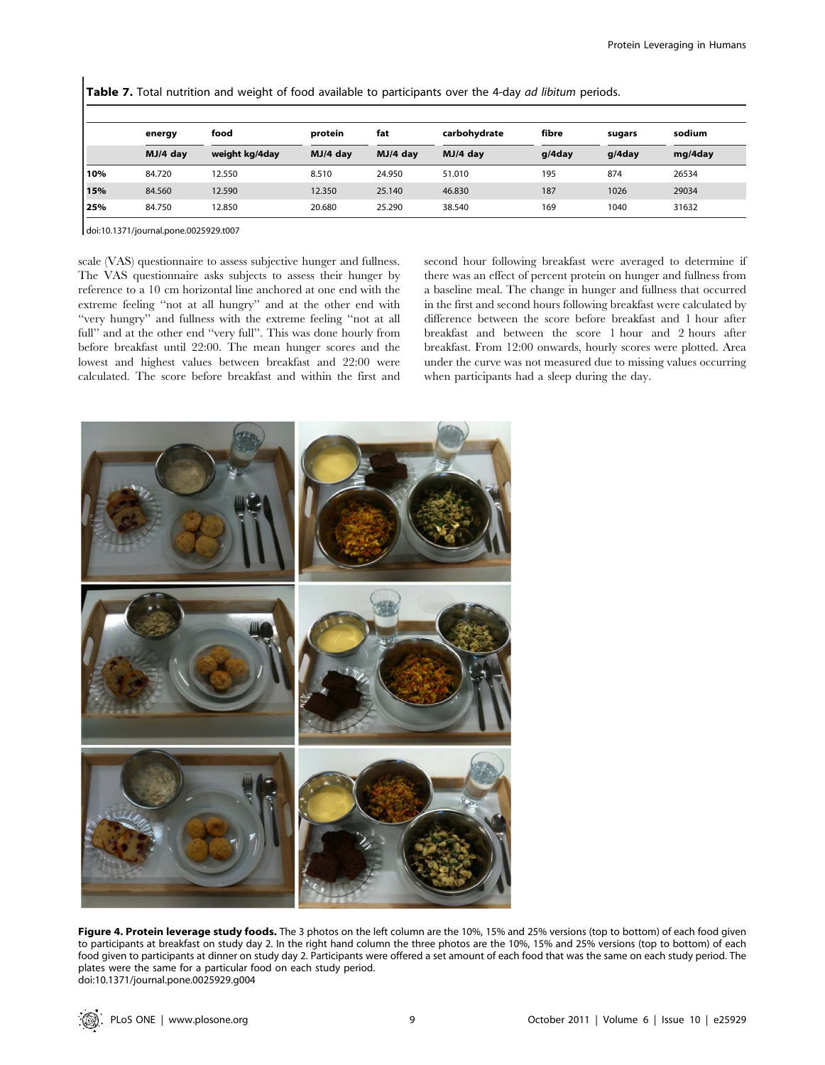Table 7. Total nutrition and weight of food available to participants over the 4-day ad libitum periods.

|     | energy   | food           | protein    | fat      | carbohydrate | fibre  | sugars | sodium  |  |
|-----|----------|----------------|------------|----------|--------------|--------|--------|---------|--|
|     | MJ/4 dav | weight kg/4day | $MJ/4$ day | MJ/4 dav | $MJ/4$ day   | g/4day | q/4day | mg/4day |  |
| 10% | 84.720   | 12.550         | 8.510      | 24.950   | 51.010       | 195    | 874    | 26534   |  |
| 15% | 84.560   | 12.590         | 12.350     | 25.140   | 46.830       | 187    | 1026   | 29034   |  |
| 25% | 84.750   | 12.850         | 20.680     | 25.290   | 38.540       | 169    | 1040   | 31632   |  |

doi:10.1371/journal.pone.0025929.t007

scale (VAS) questionnaire to assess subjective hunger and fullness. The VAS questionnaire asks subjects to assess their hunger by reference to a 10 cm horizontal line anchored at one end with the extreme feeling ''not at all hungry'' and at the other end with ''very hungry'' and fullness with the extreme feeling ''not at all full" and at the other end "very full". This was done hourly from before breakfast until 22:00. The mean hunger scores and the lowest and highest values between breakfast and 22:00 were calculated. The score before breakfast and within the first and second hour following breakfast were averaged to determine if there was an effect of percent protein on hunger and fullness from a baseline meal. The change in hunger and fullness that occurred in the first and second hours following breakfast were calculated by difference between the score before breakfast and 1 hour after breakfast and between the score 1 hour and 2 hours after breakfast. From 12:00 onwards, hourly scores were plotted. Area under the curve was not measured due to missing values occurring when participants had a sleep during the day.



Figure 4. Protein leverage study foods. The 3 photos on the left column are the 10%, 15% and 25% versions (top to bottom) of each food given to participants at breakfast on study day 2. In the right hand column the three photos are the 10%, 15% and 25% versions (top to bottom) of each food given to participants at dinner on study day 2. Participants were offered a set amount of each food that was the same on each study period. The plates were the same for a particular food on each study period. doi:10.1371/journal.pone.0025929.g004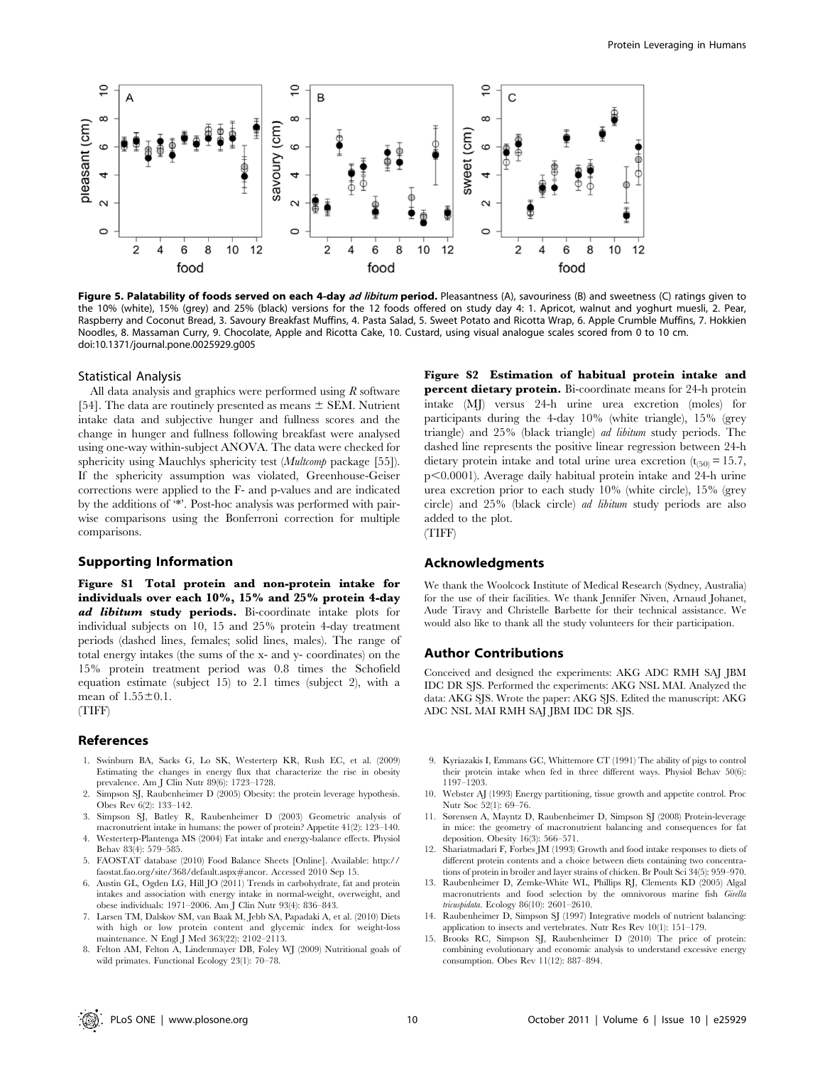

Figure 5. Palatability of foods served on each 4-day ad libitum period. Pleasantness (A), savouriness (B) and sweetness (C) ratings given to the 10% (white), 15% (grey) and 25% (black) versions for the 12 foods offered on study day 4: 1. Apricot, walnut and yoghurt muesli, 2. Pear, Raspberry and Coconut Bread, 3. Savoury Breakfast Muffins, 4. Pasta Salad, 5. Sweet Potato and Ricotta Wrap, 6. Apple Crumble Muffins, 7. Hokkien Noodles, 8. Massaman Curry, 9. Chocolate, Apple and Ricotta Cake, 10. Custard, using visual analogue scales scored from 0 to 10 cm. doi:10.1371/journal.pone.0025929.g005

#### Statistical Analysis

All data analysis and graphics were performed using  $R$  software [54]. The data are routinely presented as means  $\pm$  SEM. Nutrient intake data and subjective hunger and fullness scores and the change in hunger and fullness following breakfast were analysed using one-way within-subject ANOVA. The data were checked for sphericity using Mauchlys sphericity test (*Multcomp* package [55]). If the sphericity assumption was violated, Greenhouse-Geiser corrections were applied to the F- and p-values and are indicated by the additions of '\*'. Post-hoc analysis was performed with pairwise comparisons using the Bonferroni correction for multiple comparisons.

# Supporting Information

Figure S1 Total protein and non-protein intake for individuals over each 10%, 15% and 25% protein 4-day ad libitum study periods. Bi-coordinate intake plots for individual subjects on 10, 15 and 25% protein 4-day treatment periods (dashed lines, females; solid lines, males). The range of total energy intakes (the sums of the x- and y- coordinates) on the 15% protein treatment period was 0.8 times the Schofield equation estimate (subject 15) to 2.1 times (subject 2), with a mean of  $1.55 \pm 0.1$ .

(TIFF)

#### References

- 1. Swinburn BA, Sacks G, Lo SK, Westerterp KR, Rush EC, et al. (2009) Estimating the changes in energy flux that characterize the rise in obesity prevalence. Am J Clin Nutr 89(6): 1723–1728.
- 2. Simpson SJ, Raubenheimer D (2005) Obesity: the protein leverage hypothesis. Obes Rev 6(2): 133–142.
- 3. Simpson SJ, Batley R, Raubenheimer D (2003) Geometric analysis of macronutrient intake in humans: the power of protein? Appetite 41(2): 123–140.
- 4. Westerterp-Plantenga MS (2004) Fat intake and energy-balance effects. Physiol Behav 83(4): 579–585.
- 5. FAOSTAT database (2010) Food Balance Sheets [Online]. Available: http:// faostat.fao.org/site/368/default.aspx#ancor. Accessed 2010 Sep 15.
- 6. Austin GL, Ogden LG, Hill JO (2011) Trends in carbohydrate, fat and protein intakes and association with energy intake in normal-weight, overweight, and obese individuals: 1971–2006. Am J Clin Nutr 93(4): 836–843.
- 7. Larsen TM, Dalskov SM, van Baak M, Jebb SA, Papadaki A, et al. (2010) Diets with high or low protein content and glycemic index for weight-loss maintenance. N Engl J Med 363(22): 2102–2113.
- 8. Felton AM, Felton A, Lindenmayer DB, Foley WJ (2009) Nutritional goals of wild primates. Functional Ecology 23(1): 70–78.

Figure S2 Estimation of habitual protein intake and percent dietary protein. Bi-coordinate means for 24-h protein intake (MJ) versus 24-h urine urea excretion (moles) for participants during the 4-day 10% (white triangle), 15% (grey triangle) and 25% (black triangle) ad libitum study periods. The dashed line represents the positive linear regression between 24-h dietary protein intake and total urine urea excretion  $(t_{(50)} = 15.7$ ,  $p<0.0001$ ). Average daily habitual protein intake and 24-h urine urea excretion prior to each study 10% (white circle), 15% (grey circle) and 25% (black circle) ad libitum study periods are also added to the plot.

(TIFF)

## Acknowledgments

We thank the Woolcock Institute of Medical Research (Sydney, Australia) for the use of their facilities. We thank Jennifer Niven, Arnaud Johanet, Aude Tiravy and Christelle Barbette for their technical assistance. We would also like to thank all the study volunteers for their participation.

# Author Contributions

Conceived and designed the experiments: AKG ADC RMH SAJ JBM IDC DR SJS. Performed the experiments: AKG NSL MAI. Analyzed the data: AKG SJS. Wrote the paper: AKG SJS. Edited the manuscript: AKG ADC NSL MAI RMH SAJ JBM IDC DR SJS.

- 9. Kyriazakis I, Emmans GC, Whittemore CT (1991) The ability of pigs to control their protein intake when fed in three different ways. Physiol Behav 50(6): 1197–1203.
- 10. Webster AJ (1993) Energy partitioning, tissue growth and appetite control. Proc Nutr Soc 52(1): 69–76.
- 11. Sørensen A, Mayntz D, Raubenheimer D, Simpson SJ (2008) Protein-leverage in mice: the geometry of macronutrient balancing and consequences for fat deposition. Obesity 16(3): 566–571.
- 12. Shariatmadari F, Forbes JM (1993) Growth and food intake responses to diets of different protein contents and a choice between diets containing two concentrations of protein in broiler and layer strains of chicken. Br Poult Sci 34(5): 959–970.
- 13. Raubenheimer D, Zemke-White WL, Phillips RJ, Clements KD (2005) Algal macronutrients and food selection by the omnivorous marine fish Girella tricuspidata. Ecology 86(10): 2601–2610.
- 14. Raubenheimer D, Simpson SJ (1997) Integrative models of nutrient balancing: application to insects and vertebrates. Nutr Res Rev 10(1): 151–179.
- 15. Brooks RC, Simpson SJ, Raubenheimer D (2010) The price of protein: combining evolutionary and economic analysis to understand excessive energy consumption. Obes Rev 11(12): 887–894.